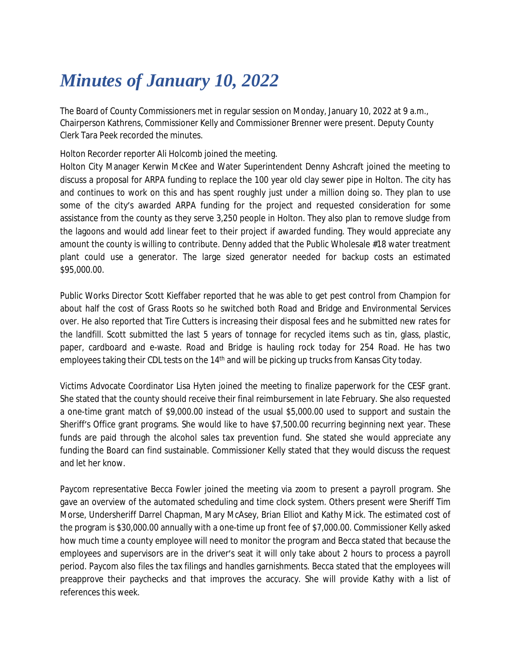## *Minutes of January 10, 2022*

The Board of County Commissioners met in regular session on Monday, January 10, 2022 at 9 a.m., Chairperson Kathrens, Commissioner Kelly and Commissioner Brenner were present. Deputy County Clerk Tara Peek recorded the minutes.

Holton Recorder reporter Ali Holcomb joined the meeting.

Holton City Manager Kerwin McKee and Water Superintendent Denny Ashcraft joined the meeting to discuss a proposal for ARPA funding to replace the 100 year old clay sewer pipe in Holton. The city has and continues to work on this and has spent roughly just under a million doing so. They plan to use some of the city's awarded ARPA funding for the project and requested consideration for some assistance from the county as they serve 3,250 people in Holton. They also plan to remove sludge from the lagoons and would add linear feet to their project if awarded funding. They would appreciate any amount the county is willing to contribute. Denny added that the Public Wholesale #18 water treatment plant could use a generator. The large sized generator needed for backup costs an estimated \$95,000.00.

Public Works Director Scott Kieffaber reported that he was able to get pest control from Champion for about half the cost of Grass Roots so he switched both Road and Bridge and Environmental Services over. He also reported that Tire Cutters is increasing their disposal fees and he submitted new rates for the landfill. Scott submitted the last 5 years of tonnage for recycled items such as tin, glass, plastic, paper, cardboard and e-waste. Road and Bridge is hauling rock today for 254 Road. He has two employees taking their CDL tests on the 14<sup>th</sup> and will be picking up trucks from Kansas City today.

Victims Advocate Coordinator Lisa Hyten joined the meeting to finalize paperwork for the CESF grant. She stated that the county should receive their final reimbursement in late February. She also requested a one-time grant match of \$9,000.00 instead of the usual \$5,000.00 used to support and sustain the Sheriff's Office grant programs. She would like to have \$7,500.00 recurring beginning next year. These funds are paid through the alcohol sales tax prevention fund. She stated she would appreciate any funding the Board can find sustainable. Commissioner Kelly stated that they would discuss the request and let her know.

Paycom representative Becca Fowler joined the meeting via zoom to present a payroll program. She gave an overview of the automated scheduling and time clock system. Others present were Sheriff Tim Morse, Undersheriff Darrel Chapman, Mary McAsey, Brian Elliot and Kathy Mick. The estimated cost of the program is \$30,000.00 annually with a one-time up front fee of \$7,000.00. Commissioner Kelly asked how much time a county employee will need to monitor the program and Becca stated that because the employees and supervisors are in the driver's seat it will only take about 2 hours to process a payroll period. Paycom also files the tax filings and handles garnishments. Becca stated that the employees will preapprove their paychecks and that improves the accuracy. She will provide Kathy with a list of references this week.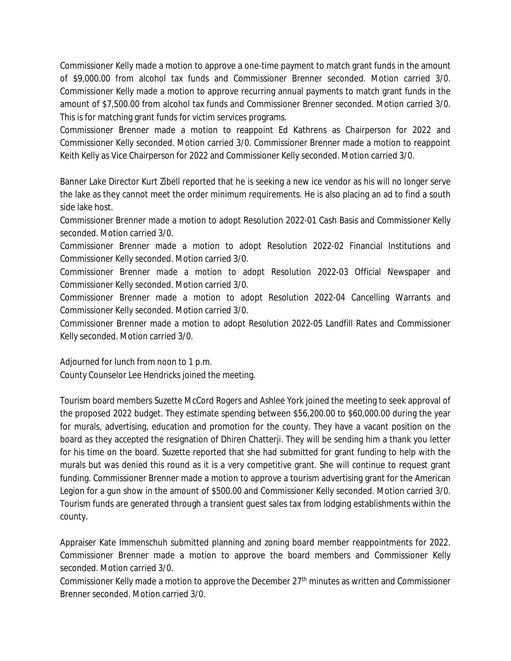Commissioner Kelly made a motion to approve a one-time payment to match grant funds in the amount of \$9,000.00 from alcohol tax funds and Commissioner Brenner seconded. Motion carried 3/0. Commissioner Kelly made a motion to approve recurring annual payments to match grant funds in the amount of \$7,500.00 from alcohol tax funds and Commissioner Brenner seconded. Motion carried 3/0. This is for matching grant funds for victim services programs.

Commissioner Brenner made a motion to reappoint Ed Kathrens as Chairperson for 2022 and Commissioner Kelly seconded. Motion carried 3/0. Commissioner Brenner made a motion to reappoint Keith Kelly as Vice Chairperson for 2022 and Commissioner Kelly seconded. Motion carried 3/0.

Banner Lake Director Kurt Zibell reported that he is seeking a new ice vendor as his will no longer serve the lake as they cannot meet the order minimum requirements. He is also placing an ad to find a south side lake host.

Commissioner Brenner made a motion to adopt Resolution 2022-01 Cash Basis and Commissioner Kelly seconded. Motion carried 3/0.

Commissioner Brenner made a motion to adopt Resolution 2022-02 Financial Institutions and Commissioner Kelly seconded. Motion carried 3/0.

Commissioner Brenner made a motion to adopt Resolution 2022-03 Official Newspaper and Commissioner Kelly seconded. Motion carried 3/0.

Commissioner Brenner made a motion to adopt Resolution 2022-04 Cancelling Warrants and Commissioner Kelly seconded. Motion carried 3/0.

Commissioner Brenner made a motion to adopt Resolution 2022-05 Landfill Rates and Commissioner Kelly seconded. Motion carried 3/0.

Adjourned for lunch from noon to 1 p.m. County Counselor Lee Hendricks joined the meeting.

Tourism board members Suzette McCord Rogers and Ashlee York joined the meeting to seek approval of the proposed 2022 budget. They estimate spending between \$56,200.00 to \$60,000.00 during the year for murals, advertising, education and promotion for the county. They have a vacant position on the board as they accepted the resignation of Dhiren Chatterji. They will be sending him a thank you letter for his time on the board. Suzette reported that she had submitted for grant funding to help with the murals but was denied this round as it is a very competitive grant. She will continue to request grant funding. Commissioner Brenner made a motion to approve a tourism advertising grant for the American Legion for a gun show in the amount of \$500.00 and Commissioner Kelly seconded. Motion carried 3/0. Tourism funds are generated through a transient guest sales tax from lodging establishments within the county.

Appraiser Kate Immenschuh submitted planning and zoning board member reappointments for 2022. Commissioner Brenner made a motion to approve the board members and Commissioner Kelly seconded. Motion carried 3/0.

Commissioner Kelly made a motion to approve the December 27<sup>th</sup> minutes as written and Commissioner Brenner seconded. Motion carried 3/0.